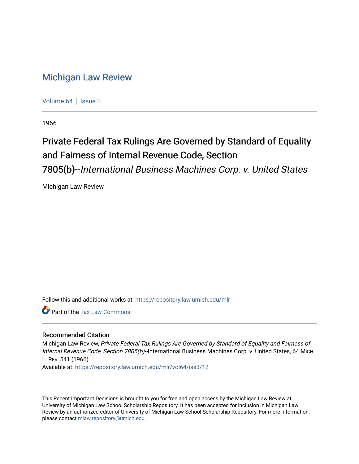## [Michigan Law Review](https://repository.law.umich.edu/mlr)

[Volume 64](https://repository.law.umich.edu/mlr/vol64) | [Issue 3](https://repository.law.umich.edu/mlr/vol64/iss3)

1966

## Private Federal Tax Rulings Are Governed by Standard of Equality and Fairness of Internal Revenue Code, Section 7805(b)--International Business Machines Corp. v. United States

Michigan Law Review

Follow this and additional works at: [https://repository.law.umich.edu/mlr](https://repository.law.umich.edu/mlr?utm_source=repository.law.umich.edu%2Fmlr%2Fvol64%2Fiss3%2F12&utm_medium=PDF&utm_campaign=PDFCoverPages) 

**P** Part of the [Tax Law Commons](http://network.bepress.com/hgg/discipline/898?utm_source=repository.law.umich.edu%2Fmlr%2Fvol64%2Fiss3%2F12&utm_medium=PDF&utm_campaign=PDFCoverPages)

## Recommended Citation

Michigan Law Review, Private Federal Tax Rulings Are Governed by Standard of Equality and Fairness of Internal Revenue Code, Section 7805(b)-International Business Machines Corp. v. United States, 64 MICH. L. REV. 541 (1966).

Available at: [https://repository.law.umich.edu/mlr/vol64/iss3/12](https://repository.law.umich.edu/mlr/vol64/iss3/12?utm_source=repository.law.umich.edu%2Fmlr%2Fvol64%2Fiss3%2F12&utm_medium=PDF&utm_campaign=PDFCoverPages) 

This Recent Important Decisions is brought to you for free and open access by the Michigan Law Review at University of Michigan Law School Scholarship Repository. It has been accepted for inclusion in Michigan Law Review by an authorized editor of University of Michigan Law School Scholarship Repository. For more information, please contact [mlaw.repository@umich.edu.](mailto:mlaw.repository@umich.edu)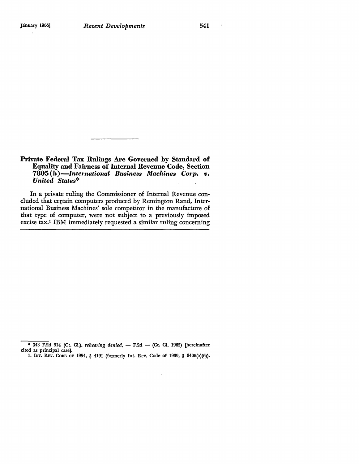$\sim$   $\lambda$ 

## Private Federal Tax Rulings Are Governed by Standard of Equality and Fairness of Internal Revenue Code, Section **7805 (b** *)-International Business Machines Corp. v. United States\**

In a private ruling the Commissioner of Internal Revenue concluded that certain computers produced by Remington Rand, International Business Machines' sole competitor in the manufacture of that type of computer, were not subject to a previously imposed excise tax.1 IBM immediately requested a similar ruling concerning

 $\sim$ 

 $\bar{\phantom{a}}$ 

<sup>• 343</sup> F.2d 914 (Ct. Cl.), *rehearing denied*, - F.2d - (Ct. Cl. 1965) [hereinafter cited as principal case].

<sup>1.</sup> INT. REV. CODE OF 1954, § 4191 (formerly Int. Rev. Code of 1939, § 3406(a)(6)).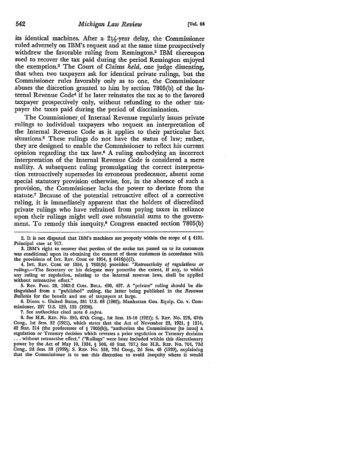its identical machines. After a  $21/2$ -year delay, the Commissioner ruled adversely on IBM's request and at the same time prospectively withdrew the favorable ruling from Remington.2 IBM thereupon sued to recover the tax paid during the period Remington enjoyed the exemption.3 The Court of Claims *held,* one judge dissenting, that when two taxpayers ask for identical private rulings, but the Commissioner rules favorably only as to one, the Commissioner abuses the discretion granted to him by section 7805(b) of the Internal Revenue Code4 if he later reinstates the tax as to the favored taxpayer prospectively only, without refunding to the other taxpayer the taxes paid during the period of discrimination.

The Commissioner. of Internal Revenue regularly issues private rulings to individual taxpayers who request an interpretation of the Internal Revenue Code as it applies to their particular fact situations.5 These rulings do not have the status of law; rather, they are designed to enable the Commissioner to reflect his current opinion regarding the tax Iaw.6 A ruling embodying an incorrect interpretation of the Internal Revenue Code is considered a mere nullity. A subsequent ruling promulgating the correct interpretation retroactively supersedes its erroneous predecessor, absent some special statutory provision othenvise, for, in the absence of such a provision, the Commissioner lacks the power to deviate from the statute.7 Because of the potential retroactive effect of a corrective ruling, it is immediately apparent that the holders of discredited private rulings who have refrained from paying taxes in reliance upon their rulings might well owe substantial sums to the government. To remedy this inequity,<sup>8</sup> Congress enacted section 7805(b)

4. INT. REv. CODE OF 1954, § 7805(b) provides: *"Retroactivity of regulations or rulings.-The* Secretary or his delegate may prescribe the extent, if any, to which any ruling or regulation, relating to the internal revenue laws, shall be applied without retroactive effect."

5. Rev. Proc. 28, 1962-2 Cum. BuLL. 496, 497. A "private" ruling should be distinguished from a "published" ruling, the latter being published in the *Revenue Bulletin* for the benefit and use of taxpayers at large.

6. Dixon v. United States, 381 U.S. 68 (1965); Manhattan Gen. Equip. Co. v. Commissioner, 297 U.S. 129, 135 (1936).

7. See authorities cited note 6 *supra.* 

8. See H.R. REP. No. 350, 67th Cong., 1st Sess. 15-16 (1921); S. REP. No. 275, 67th , Cong., 1st Sess. 32 (1921), which states that the Act of November 23, 1921, § 1314, 42 Stat. 314 (the predecessor of § 7805(b)), "authorizes the Commissioner [to issue] a regulation or Treasury decision which reverses a prior regulation or Treasury decision .•• without retroactive effect." ("Rulings" were later included within this discretionary power by the Act of May 10, 1934, § 506, 48 Stat. 757.) Sec H.R. REP. No. 704, 73d Cong., 2d Sess. 38 (1939); S. REP. No. 558, 73d Cong., 2d Sess. 48 (1939), explaining that the Commissioner is to use this discretion to avoid inequity where it would

<sup>2.</sup> It is not disputed that IBM's machines are properly within the scope of § 4191. Principal case at 917.

<sup>3.</sup> IBM's right to recover that portion of the excise tax passed on to its customers was conditional upon its obtaining the consent of those customers in accordance with the provisions of INT. REv. CODE OF 1954, § 6416(a)(l).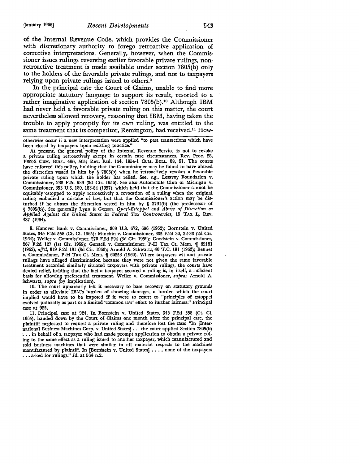of the Internal Revenue Code, which provides the Commissioner with discretionary authority to forego retroactive application of corrective interpretations. Generally, however, when the Commissioner issues rulings reversing earlier favorable private rulings, nonretroactive treatment is made available under section 7805(b) only to the holders of the favorable private rulings, and not to taxpayers relying upon private rulings issued to others.<sup>9</sup>

In the principal case the Court of Claims, unable to find more appropriate statutory language to support its result, resorted to a rather imaginative application of section  $7805(b)$ .<sup>10</sup> Although IBM had never held a favorable private ruling on this matter, the court nevertheless allowed recovery, reasoning that IBM, having taken the trouble to apply promptly for its own ruling, was entitled to the same treatment that its competitor, Remington, had received.<sup>11</sup> How-

otherwise occur if a new interpretation were applied "to past transactions which have been closed by taxpayers upon existing practice."

**At** present, the general policy of the Internal Revenue Service is not to revoke a private ruling retroactively except in certain rare circumstances. Rev. Proc. 28, 1962·2 CuM, BULL. 496, 505; Rev. Rul. 164, 1954-1 CuM. BULL. 88, 91. The courts have enforced this policy, holding that the Commissioner may be found to have abused the discretion vested in him by § 7805(b) when he retroactively revokes a favorable private ruling upon which the holder has relied. See, *e.g.,* Lesavoy Foundation v. Commissioner, 238 F.2d 589 (3d Cir. 1956). See also Automobile Club of Michigan v. Commissioner, 353 U.S. 180, 183-84 (1957), which held that the Commissioner cannot be equitably ·estopped to apply retroactively a revocation of a ruling when the original ruling embodied a mistake of law, but that the Commissioner's action may be disturbed if he abuses the discretion vested in him by § 379l(b) (the predecessor of § 7805(b)). See generally Lynn & Gerson, *Quasi-Estoppel and Abuse of Discretion as Applied Against the United States in Federal Tax Controversies, 19 TAX L. REV.* 487 (1964).

9. Hanover Bank v. Commissioner, 369 U.S. 672, 686 (1962); Bornstein v. United States, 345 F.2d 558 (Ct. Cl. 1965); Minchin v. Commissioner, 335 F.2d 30, 32-33 (2d Cir. 1964); Weller v. Commissioner, 270 F.2d 294 (3d Cir. 1959); Goodstein v. Commissioner, 267 F.2d 127 (1st Cir. 1959); Gerstell v. Commissioner, P-H Tax Ct. Mem. ¶ 62181 (1962), *aff'd,* 319 F.2d 131 (3d Cir. l!l63); Arnold A. Schwartz, 40 T.C. 191 (1963); Bennet v. Commissioner, P-H Tax Ct. Mem.  $\oint$  60253 (1960). Where taxpayers without private ruliugs have alleged discrimination because they were not given the same favorable treatment accorded similarly situated taxpayers with private rulings, the courts have denied relief, holding that the fact a taxpayer secured a ruling is, in itself, a sufficient basis for allowing preferential treatment. Weller v. Commissioner, *supra;* Arnold A. Schwartz, *supra* (by implication).

10. The court apparently felt it necessary to base recovery on statutory grounds in order to alleviate IBM's burden of showing damages, a burden which the court implied would have to be imposed if it were to resort to "principles of estoppel evolved judicially as part of a limited 'common law' effort to further fairness." Principal case at 925.

11. Principal case at 924. In Bornstein v. United States, 345 F.2d 558 (Ct. CI. 1965), handed down by the Court of Claims one month after the principal case, the plaintiff neglected to request a private ruling and therefore lost the case: "In [International Business Machines Corp. v. United States] •.. the court applied Section 7805(b) ·, •• in behalf of a taxpayer who had made prompt application to obtain a private ruling to the same effect as a ruling issued to another taxpayer, which manufactured and sold business machines that were similar in all material respects to the machines manufactured by plaintiff. In [Bornstein v. United States] ••• , none of the taxpayers ••• asked for rulings." *Id.* at 564 n.2.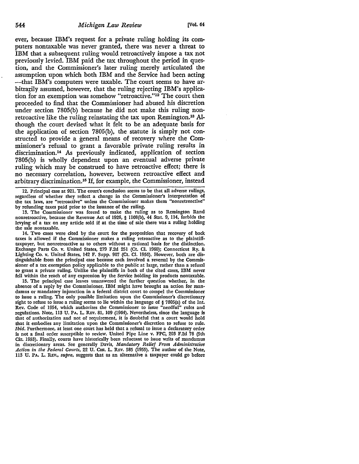ever, because IBM's request for a private ruling holding its computers nontaxable was never granted, there was never a threat to IBM that a subsequent ruling would retroactively impose a tax not previously levied. IBM paid the tax throughout the period in question, and the Commissioner's later ruling merely articulated the assumption upon which both IBM and the Service had been acting --that IBM's computers were taxable. The court seems to have arbitrarily assumed, however, that the ruling rejecting IBM's application for an exemption was somehow "retroactive."12 The court then proceeded to find that the Commissioner had abused his discretion under section 7805(b) because he did not make this ruling nonretroactive like the ruling reinstating the tax upon Remington.18 Although the court devised what it felt to be an adequate basis for the application of section 7805(b), the statute is simply not constructed to provide a general means of recovery where the Commissioner's refusal to grant a favorable private ruling results in discrimination.14 As previously indicated, application of section 7805(b) is wholly dependent upon an eventual adverse private ruling which may be construed to have retroactive effect; there is no necessary correlation, however, between retroactive effect and arbitrary discrimination.<sup>15</sup> If, for example, the Commissioner, instead

12. Principal case at 921. The court's conclusion seems to be that all adverse rulings, regardless of whether they reflect a change in the Commissioner's interpretation of the tax laws, are "retroactive" unless the Commissioner makes them "nonretroactive" by refunding taxes paid prior to the issuance of the ruling.

13. The Commissioner was forced to make the ruling as to Remington Rand nonretroactive, because the Revenue Act of 1926, § 1108(b), 44 Stat. 9, 114, forbids the levying of a tax on any article sold if at the time of sale there was a ruling holding the sale nontaxable.

14. Two cases were cited by the court for the proposition that recovery of back taxes is allowed if the Commissioner makes a ruling retroactive as *to* the plaintifftaxpayer, but nonretroactive as to others without a rational basis for the distinction. Exchange Parts Co. v. United States, 279 F.2d 251 (Ct. Cl. 1960); Connecticut Ry. & Lighting Co. v. United States, 142 F. Supp. 907 (Ct. Cl. 1956). However, both are distinguishable from the principal case because each involved a reversal by the Commissioner of a tax exemption policy applicable to the public at large, rather than a refusal to grant a private ruling. Unlike the plaintiffs in both of the cited cases, IBM never fell within the reach of any expression by the Service holding its products nontaxable,

15. The principal case leaves unanswered the further question whether, in the absence of a reply by the Commissioner, IBM might have brought an action for man• damus or mandatory injunction in a federal district court to compel the Commissioner to issue a ruling. The only possible limitation upon the Commissioner's discretionary right to refuse to issue a ruling seems to lie within the language of § 7805(a) of the Int. Rev. Code of 1954, which authorizes the Commissioner to issue "needful" rules and regulations. Note, 113 U. PA. L. REv. 81, 109 (1964). Nevertheless, since the language is that of authorization and not of requirement, it is doubtful that a court would hold that it embodies any limitation upon the Commissioner's discretion to refuse to rule, *Ibid.* Furthermore, at least one court has held that a refusal to issue a declaratory order is not a final order susceptible to review. United Pipe Line v. FPC, 203 F.2d 78 (5th Cir. 1953). Finally, courts have historically been reluctant to issue writs of mandamus in discretionary areas. See generally Davis, *Mandatory Relief From Administrative Action in the Federal Courts,* 22 U. CHI. L. REv. 585 (1955). The author of the Note, 113 U. PA. L. REV., *supra*, *suggests that as an alternative a taxpayer could go before*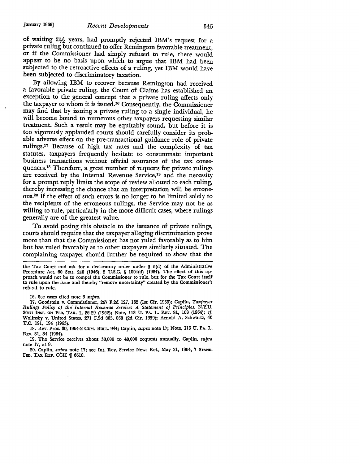of waiting  $2\frac{1}{2}$  years, had promptly rejected IBM's request for a private ruling but continued to offer Remington favorable treatment, or if the Commissioner had simply refused to rule, there would appear to be no basis upon which to argue that IBM had been subjected to the retroactive effects of a ruling, yet IBM would have been subjected to discriminatory taxation.

By allowing IBM to recover because Remington had received a favorable private ruling, the Court of Claims has established an exception to the general concept that a private ruling affects only the taxpayer to whom it is issued.16 Consequently, the Commissioner may find that by issuing a private ruling to a single individual, he will become bound to numerous other taxpayers requesting similar treatment. Such a result may be equitably sound, but before it is too vigorously applauded courts should carefully consider its probable adverse effect on the pre-transactional guidance role of private rulings.17 Because of high tax rates and the complexity of tax statutes, taxpayers frequently hesitate to consummate important business transactions without official assurance of the tax consequences.18 Therefore, a great number of requests for private rulings are received by the Internal Revenue Service,19 and the necessity for a prompt reply limits the scope of review allotted to each ruling, thereby increasing the chance that an interpretation will be erroneous.20 If the effect of such errors is no longer to be limited solely to the recipients of the erroneous rulings, the Service may not be as willing to rule, particularly in the more difficult cases, where rulings generally are of the greatest value.

To avoid posing this obstacle to the issuance of private rulings, courts should require that the taxpayer alleging discrimination prove more than that the Commissioner has not ruled favorably as to him but has ruled favorably as to other taxpayers similarly situated. The complaining taxpayer should further be required to show that the

the Tax Court and ask for a declaratory order under § 5(d) of the Administrative Procedure Act, 60 Stat. 240 (1946), 5 U.S.C. § 1004(d) (1964). The effect of this approach would not be to compel the Commissioner to rule, but for the Tax Court itself to rule upon the issue and thereby "remove uncertainty" created by the Commissioner's refusal to rule.

16. See cases cited note 9 *supra.* 

17. Goodstein v. Commissioner, 267 F.2d 127, 132 (1st Cir. 1959); Caplin, *Taxpayer Rulings Policy of the" Internal Revenue Service: A Statement of Principles,* N.Y.U. 20TH INsr. ON FED. TAX. 1, 26-29 (1962); Note, 113 u. PA. L. REv. 81, 108 (1964); cf. Wolinsky v. United States, 271 F.2d 865, 868 (2d Cir. 1959); Arnold A. Schwartz, 40 T.C. 191, 194 (1963).

18. Rev. Proc. 30, 1964-2 CUM. BULL. 944; Caplin, *supra* note 17; Note, 113 U. PA. L. REv. 81, 84 (1964).

19. The Service receives about 30,000 to 40,000 requests annually. Caplin, *supra*  note 17, at 9.

20. Caplin, *supra* note 17; see Int. Rev. Service News Rel., May 21, 1964, 7 STAND. FED. TAX REP. CCH | 6610.